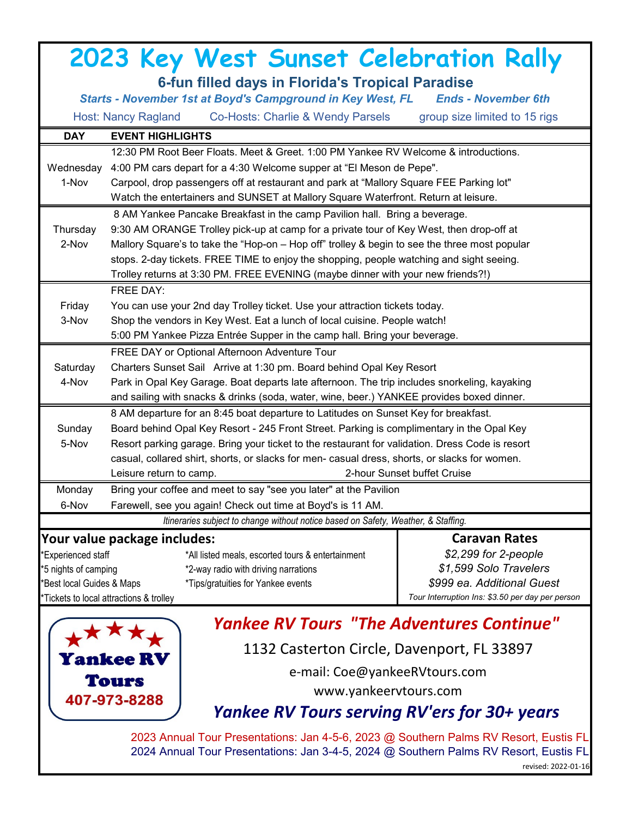## **2023 Key West Sunset Celebration Rally**

**DAY EVENT HIGHLIGHTS** 12:30 PM Root Beer Floats. Meet & Greet. 1:00 PM Yankee RV Welcome & introductions. Wednesday 4:00 PM cars depart for a 4:30 Welcome supper at "El Meson de Pepe". 1-Nov Carpool, drop passengers off at restaurant and park at "Mallory Square FEE Parking lot" Watch the entertainers and SUNSET at Mallory Square Waterfront. Return at leisure. 8 AM Yankee Pancake Breakfast in the camp Pavilion hall. Bring a beverage. Thursday 9:30 AM ORANGE Trolley pick-up at camp for a private tour of Key West, then drop-off at 2-Nov Mallory Square's to take the "Hop-on – Hop off" trolley & begin to see the three most popular stops. 2-day tickets. FREE TIME to enjoy the shopping, people watching and sight seeing. Trolley returns at 3:30 PM. FREE EVENING (maybe dinner with your new friends?!) FREE DAY: Friday You can use your 2nd day Trolley ticket. Use your attraction tickets today. 3-Nov Shop the vendors in Key West. Eat a lunch of local cuisine. People watch! 5:00 PM Yankee Pizza Entrée Supper in the camp hall. Bring your beverage. FREE DAY or Optional Afternoon Adventure Tour Saturday Charters Sunset Sail Arrive at 1:30 pm. Board behind Opal Key Resort 4-Nov Park in Opal Key Garage. Boat departs late afternoon. The trip includes snorkeling, kayaking and sailing with snacks & drinks (soda, water, wine, beer.) YANKEE provides boxed dinner. 8 AM departure for an 8:45 boat departure to Latitudes on Sunset Key for breakfast. Sunday Board behind Opal Key Resort - 245 Front Street. Parking is complimentary in the Opal Key 5-Nov Resort parking garage. Bring your ticket to the restaurant for validation. Dress Code is resort casual, collared shirt, shorts, or slacks for men- casual dress, shorts, or slacks for women. Leisure return to camp. 2-hour Sunset buffet Cruise Monday Bring your coffee and meet to say "see you later" at the Pavilion 6-Nov Farewell, see you again! Check out time at Boyd's is 11 AM. **Your value package includes:** \*Experienced staff \*All listed meals, escorted tours & entertainment \*5 nights of camping \*2-way radio with driving narrations \*Best local Guides & Maps \*Tips/gratuities for Yankee events \*Tickets to local attractions & trolley *Itineraries subject to change without notice based on Safety, Weather, & Staffing.* **Caravan Rates** *\$2,299 for 2-people \$1,599 Solo Travelers* **6-fun filled days in Florida's Tropical Paradise** *Starts - November 1st at Boyd's Campground in Key West, FL Ends - November 6th* Host: Nancy Ragland Co-Hosts: Charlie & Wendy Parsels group size limited to 15 rigs *Tour Interruption Ins: \$3.50 per day per person \$999 ea. Additional Guest*



## *Yankee RV Tours "The Adventures Continue"*

1132 Casterton Circle, Davenport, FL 33897

e-mail: Coe@yankeeRVtours.com

[www.yankeervtours.com](http://www.yankeervtours.com/)

## *Yankee RV Tours serving RV'ers for 30+ years*

2023 Annual Tour Presentations: Jan 4-5-6, 2023 @ Southern Palms RV Resort, Eustis FL 2024 Annual Tour Presentations: Jan 3-4-5, 2024 @ Southern Palms RV Resort, Eustis FL revised: 2022-01-16